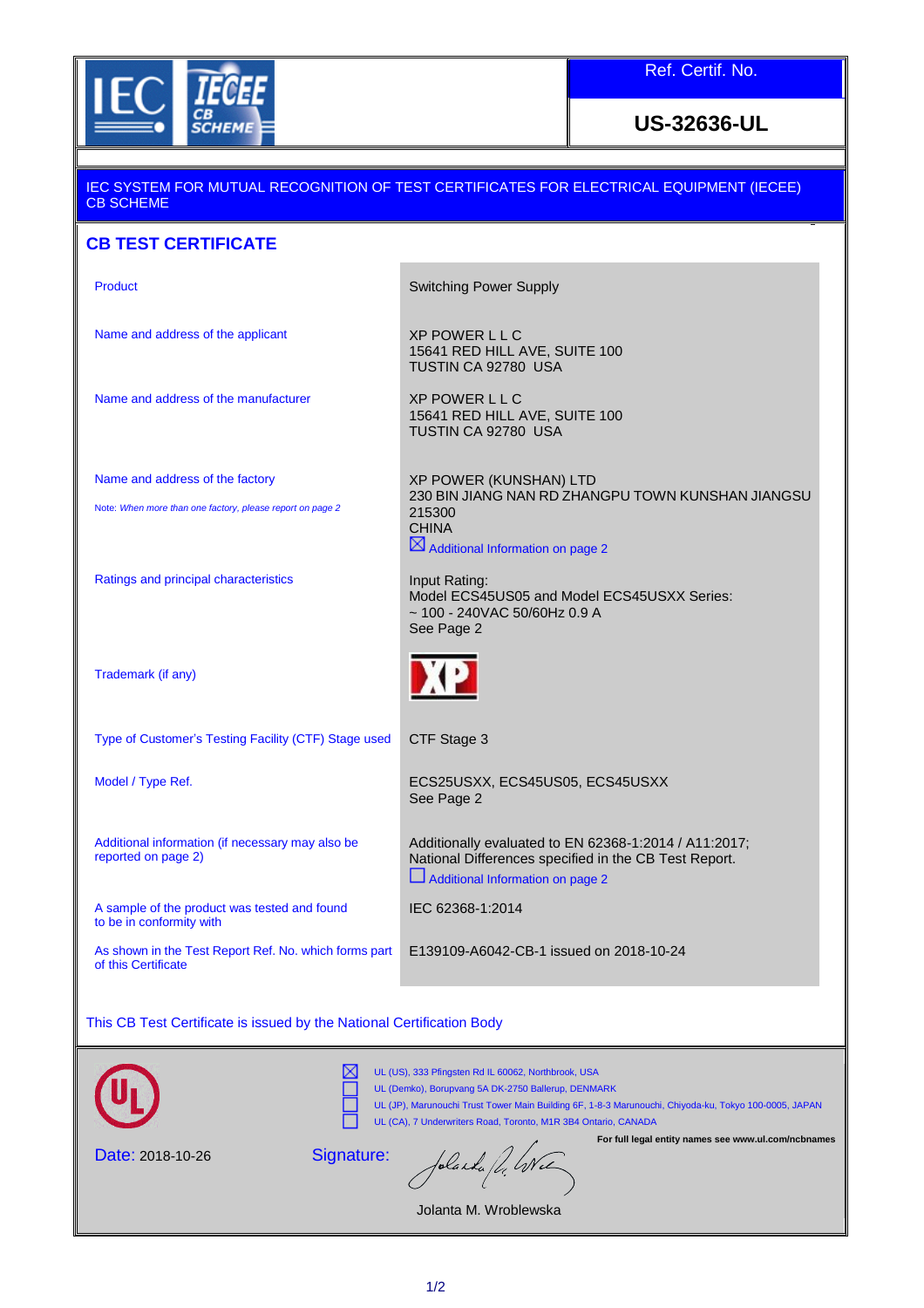

Ref. Certif. No.

**US-32636-UL**

| <u>IEC SYSTEM FOR MUTUAL RECOGNITION OF TEST CERTIFICATES FOR ELECTRICAL EQUIPMENT (IECEE)</u><br><b>CB SCHEME</b>                                                                                                                                                                                                                          |                                                                                                                                                                 |
|---------------------------------------------------------------------------------------------------------------------------------------------------------------------------------------------------------------------------------------------------------------------------------------------------------------------------------------------|-----------------------------------------------------------------------------------------------------------------------------------------------------------------|
| <b>CB TEST CERTIFICATE</b>                                                                                                                                                                                                                                                                                                                  |                                                                                                                                                                 |
| <b>Product</b>                                                                                                                                                                                                                                                                                                                              | <b>Switching Power Supply</b>                                                                                                                                   |
| Name and address of the applicant                                                                                                                                                                                                                                                                                                           | <b>XP POWER LLC</b><br>15641 RED HILL AVE, SUITE 100<br>TUSTIN CA 92780 USA                                                                                     |
| Name and address of the manufacturer                                                                                                                                                                                                                                                                                                        | <b>XP POWER LLC</b><br>15641 RED HILL AVE, SUITE 100<br>TUSTIN CA 92780 USA                                                                                     |
| Name and address of the factory<br>Note: When more than one factory, please report on page 2                                                                                                                                                                                                                                                | XP POWER (KUNSHAN) LTD<br>230 BIN JIANG NAN RD ZHANGPU TOWN KUNSHAN JIANGSU<br>215300<br><b>CHINA</b>                                                           |
| Ratings and principal characteristics                                                                                                                                                                                                                                                                                                       | $\boxtimes$ Additional Information on page 2<br>Input Rating:<br>Model ECS45US05 and Model ECS45USXX Series:<br>$\sim$ 100 - 240VAC 50/60Hz 0.9 A<br>See Page 2 |
| Trademark (if any)                                                                                                                                                                                                                                                                                                                          | <b>XP</b>                                                                                                                                                       |
| Type of Customer's Testing Facility (CTF) Stage used                                                                                                                                                                                                                                                                                        | CTF Stage 3                                                                                                                                                     |
| Model / Type Ref.                                                                                                                                                                                                                                                                                                                           | ECS25USXX, ECS45US05, ECS45USXX<br>See Page 2                                                                                                                   |
| Additional information (if necessary may also be<br>reported on page 2)                                                                                                                                                                                                                                                                     | Additionally evaluated to EN 62368-1:2014 / A11:2017;<br>National Differences specified in the CB Test Report.<br>Additional Information on page 2              |
| A sample of the product was tested and found<br>to be in conformity with                                                                                                                                                                                                                                                                    | IEC 62368-1:2014                                                                                                                                                |
| As shown in the Test Report Ref. No. which forms part<br>of this Certificate                                                                                                                                                                                                                                                                | E139109-A6042-CB-1 issued on 2018-10-24                                                                                                                         |
| This CB Test Certificate is issued by the National Certification Body                                                                                                                                                                                                                                                                       |                                                                                                                                                                 |
| UL (US), 333 Pfingsten Rd IL 60062, Northbrook, USA<br>UL (Demko), Borupvang 5A DK-2750 Ballerup, DENMARK<br>UL (JP), Marunouchi Trust Tower Main Building 6F, 1-8-3 Marunouchi, Chiyoda-ku, Tokyo 100-0005, JAPAN<br>UL (CA), 7 Underwriters Road, Toronto, M1R 3B4 Ontario, CANADA<br>For full legal entity names see www.ul.com/ncbnames |                                                                                                                                                                 |
| Signature:<br>Date: 2018-10-26<br>Jolanda fl. Wie                                                                                                                                                                                                                                                                                           |                                                                                                                                                                 |

Jolanta M. Wroblewska